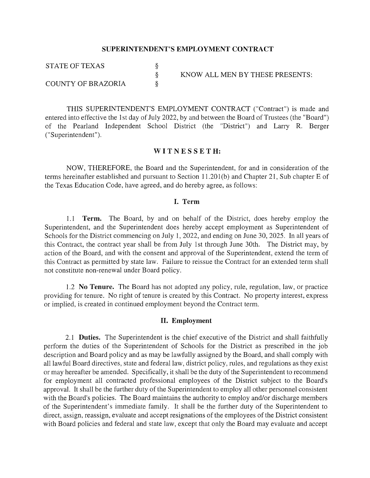#### **SUPERINTENDENT'S EMPLOYMENT CONTRACT**

§ § §

STATE OF TEXAS

COUNTY OF BRAZORIA

KNOW ALL MEN BY THESE PRESENTS:

THIS SUPERINTENDENT'S EMPLOYMENT CONTRACT ("Contract") is made and entered into effective the 1st day of July 2022, by and between the Board of Trustees (the "Board") of the Pearland Independent School District (the "District") and Larry R. Berger (" Superintendent").

#### **WIT NE S S ETH:**

NOW, THEREFORE, the Board and the Superintendent, for and in consideration of the terms hereinafter established and pursuant to Section 11.201(b) and Chapter 21, Sub chapter E of the Texas Education Code, have agreed, and do hereby agree, as follows:

#### **I. Term**

1.1 **Term.** The Board, by and on behalf of the District, does hereby employ the Superintendent, and the Superintendent does hereby accept employment as Superintendent of Schools for the District commencing on July 1, 2022, and ending on June 30, 2025. In all years of this Contract, the contract year shall be from July 1st through June 30th. The District may, by action of the Board, and with the consent and approval of the Superintendent, extend the term of this Contract as permitted by state law. Failure to reissue the Contract for an extended term shall not constitute non-renewal under Board policy.

1.2 **No Tenure.** The Board has not adopted any policy, rule, regulation, law, or practice providing for tenure. No right of tenure is created by this Contract. No property interest, express or implied, is created in continued employment beyond the Contract term.

#### **II. Employment**

2.1 **Duties.** The Superintendent is the chief executive of the District and shall faithfully perform the duties of the Superintendent of Schools for the District as prescribed in the job description and Board policy and as may be lawfully assigned by the Board, and shall comply with all lawful Board directives, state and federal law, district policy, rules, and regulations as they exist or may hereafter be amended. Specifically, it shall be the duty of the Superintendent to recommend for employment all contracted professional employees of the District subject to the Board's approval. It shall be the further duty of the Superintendent to employ all other personnel consistent with the Board's policies. The Board maintains the authority to employ and/or discharge members of the Superintendent's immediate family. It shall be the further duty of the Superintendent to direct, assign, reassign, evaluate and accept resignations of the employees of the District consistent with Board policies and federal and state law, except that only the Board may evaluate and accept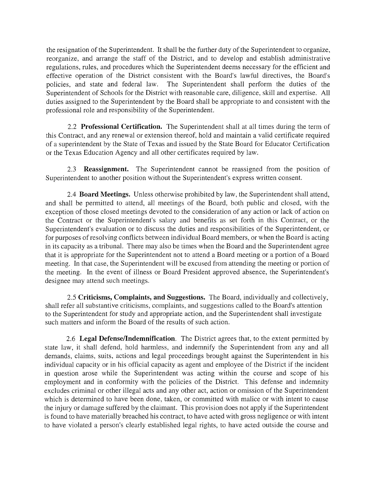the resignation of the Superintendent. It shall be the further duty of the Superintendent to organize, reorganize, and arrange the staff of the District, and to develop and establish administrative regulations, rules, and procedures which the Superintendent deems necessary for the efficient and effective operation of the District consistent with the Board's lawful directives, the Board's policies, and state and federal law. The Superintendent shall perform the duties of the Superintendent of Schools for the District with reasonable care, diligence, skill and expertise. All duties assigned to the Superintendent by the Board shall be appropriate to and consistent with the professional role and responsibility of the Superintendent.

2.2 **Professional Certification.** The Superintendent shall at all times during the term of this Contract, and any renewal or extension thereof, hold and maintain a valid certificate required of a superintendent by the State of Texas and issued by the State Board for Educator Certification or the Texas Education Agency and all other certificates required by law.

2.3 **Reassignment.** The Superintendent cannot be reassigned from the position of Superintendent to another position without the Superintendent's express written consent.

2.4 **Board Meetings.** Unless otherwise prohibited by law, the Superintendent shall attend, and shall be permitted to attend, all meetings of the Board, both public and closed, with the exception of those closed meetings devoted to the consideration of any action or lack of action on the Contract or the Superintendent's salary and benefits as set forth in this Contract, or the Superintendent's evaluation or to discuss the duties and responsibilities of the Superintendent, or for purposes of resolving conflicts between individual Board members, or when the Board is acting in its capacity as a tribunal. There may also be times when the Board and the Superintendent agree that it is appropriate for the Superintendent not to attend a Board meeting or a portion of a Board meeting. In that case, the Superintendent will be excused from attending the meeting or portion of the meeting. In the event of illness or Board President approved absence, the Superintendent's designee may attend such meetings.

2.5 **Criticisms, Complaints, and Suggestions.** The Board, individually and collectively, shall refer all substantive criticisms, complaints, and suggestions called to the Board's attention to the Superintendent for study and appropriate action, and the Superintendent shall investigate such matters and inform the Board of the results of such action.

2.6 **Legal Defense/Indemnification.** The District agrees that, to the extent permitted by state law, it shall defend, hold harmless, and indemnify the Superintendent from any and all demands, claims, suits, actions and legal proceedings brought against the Superintendent in his individual capacity or in his official capacity as agent and employee of the District if the incident in question arose while the Superintendent was acting within the course and scope of his employment and in conformity with the policies of the District. This defense and indemnity excludes criminal or other illegal acts and any other act, action or omission of the Superintendent which is determined to have been done, taken, or committed with malice or with intent to cause the injury or damage suffered by the claimant. This provision does not apply if the Superintendent is found to have materially breached his contract, to have acted with gross negligence or with intent to have violated a person's clearly established legal rights, to have acted outside the course and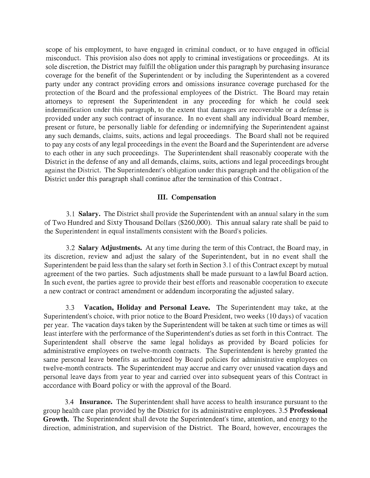scope of his employment, to have engaged in criminal conduct, or to have engaged in official misconduct. This provision also does not apply to criminal investigations or proceedings. At its sole discretion, the District may fulfill the obligation under this paragraph by purchasing insurance coverage for the benefit of the Superintendent or by including the Superintendent as a covered party under any contract providing errors and omissions insurance coverage purchased for the protection of the Board and the professional employees of the District. The Board may retain attorneys to represent the Superintendent in any proceeding for which he could seek indemnification under this paragraph, to the extent that damages are recoverable or a defense is provided under any such contract of insurance. In no event shall any individual Board member, present or future, be personally liable for defending or indemnifying the Superintendent against any such demands, claims, suits, actions and legal proceedings. The Board shall not be required to pay any costs of any legal proceedings in the event the Board and the Superintendent are adverse to each other in any such proceedings. The Superintendent shall reasonably cooperate with the District in the defense of any and all demands, claims, suits, actions and legal proceedings brought against the District. The Superintendent's obligation under this paragraph and the obligation of the District under this paragraph shall continue after the termination of this Contract .

# **III. Compensation**

3.1 **Salary.** The District shall provide the Superintendent with an annual salary in the sum of Two Hundred and Sixty Thousand Dollars (\$260,000). This annual salary rate shall be paid to the Superintendent in equal installments consistent with the Board's policies.

3.2 **Salary Adjustments.** At any time during the term of this Contract, the Board may, in its discretion, review and adjust the salary of the Superintendent, but in no event shall the Superintendent be paid less than the salary set forth in Section 3.1 of this Contract except by mutual agreement of the two parties. Such adjustments shall be made pursuant to a lawful Board action. In such event, the parties agree to provide their best efforts and reasonable cooperation to execute a new contract or contract amendment or addendum incorporating the adjusted salary.

3.3 **Vacation, Holiday and Personal Leave.** The Superintendent may take, at the Superintendent's choice, with prior notice to the Board President, two weeks ( 10 days) of vacation per year. The vacation days taken by the Superintendent will be taken at such time or times as will least interfere with the performance of the Superintendent's duties as set forth in this Contract. The Superintendent shall observe the same legal holidays as provided by Board policies for administrative employees on twelve-month contracts. The Superintendent is hereby granted the same personal leave benefits as authorized by Board policies for administrative employees on twelve-month contracts. The Superintendent may accrue and carry over unused vacation days and personal leave days from year to year and carried over into subsequent years of this Contract in accordance with Board policy or with the approval of the Board.

3.4 **Insurance.** The Superintendent shall have access to health insurance pursuant to the group health care plan provided by the District for its administrative employees. 3.5 **Professional Growth.** The Superintendent shall devote the Superintendent's time, attention, and energy to the direction, administration, and supervision of the District. The Board, however, encourages the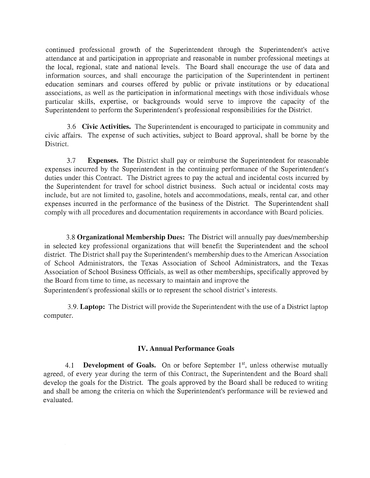continued professional growth of the Superintendent through the Superintendent's active attendance at and participation in appropriate and reasonable in number professional meetings at the local, regional, state and national levels. The Board shall encourage the use of data and information sources, and shall encourage the participation of the Superintendent in pertinent education seminars and courses offered by public or private institutions or by educational associations, as well as the participation in informational meetings with those individuals whose particular skills, expertise, or backgrounds would serve to improve the capacity of the Superintendent to perform the Superintendent's professional responsibilities for the District.

3.6 **Civic Activities.** The Superintendent is encouraged to participate in community and civic affairs. The expense of such activities, subject to Board approval, shall be borne by the District.

3.7 **Expenses.** The District shall pay or reimburse the Superintendent for reasonable expenses incurred by the Superintendent in the continuing performance of the Superintendent's duties under this Contract. The District agrees to pay the actual and incidental costs incurred by the Superintendent for travel for school district business. Such actual or incidental costs may include, but are not limited to, gasoline, hotels and accommodations, meals, rental car, and other expenses incurred in the performance of the business of the District. The Superintendent shall comply with all procedures and documentation requirements in accordance with Board policies.

3.8 **Organizational Membership Dues:** The District will annually pay dues/membership in selected key professional organizations that will benefit the Superintendent and the school district. The District shall pay the Superintendent's membership dues to the American Association of School Administrators, the Texas Association of School Administrators, and the Texas Association of School Business Officials, as well as other memberships, specifically approved by the Board from time to time, as necessary to maintain and improve the Superintendent's professional skills or to represent the school district's interests.

3.9. **Laptop:** The District will provide the Superintendent with the use of a District laptop computer.

# **IV. Annual Performance Goals**

4.1 **Development of Goals.** On or before September 1<sup>st</sup>, unless otherwise mutually agreed, of every year during the term of this Contract, the Superintendent and the Board shall develop the goals for the District. The goals approved by the Board shall be reduced to writing and shall be among the criteria on which the Superintendent's performance will be reviewed and evaluated.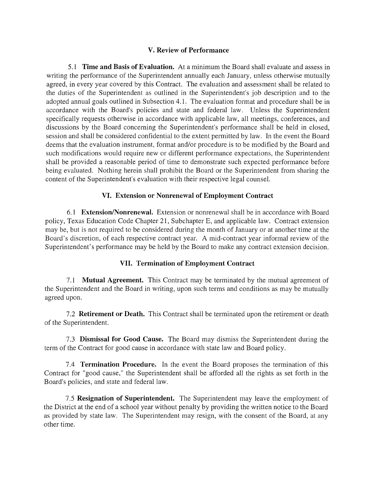## **V. Review of Performance**

5.1 **Time and Basis of Evaluation.** At a minimum the Board shall evaluate and assess in writing the performance of the Superintendent annually each January, unless otherwise mutually agreed, in every year covered by this Contract. The evaluation and assessment shall be related to the duties of the Superintendent as outlined in the Superintendent's job description and to the adopted annual goals outlined in Subsection 4.1. The evaluation format and procedure shall be in accordance with the Board's policies and state and federal law. Unless the Superintendent specifically requests otherwise in accordance with applicable law, all meetings, conferences, and discussions by the Board concerning the Superintendent's performance shall be held in closed, session and shall be considered confidential to the extent permitted by law. In the event the Board deems that the evaluation instrument, format and/or procedure is to be modified by the Board and such modifications would require new or different performance expectations, the Superintendent shall be provided a reasonable period of time to demonstrate such expected performance before being evaluated. Nothing herein shall prohibit the Board or the Superintendent from sharing the content of the Superintendent's evaluation with their respective legal counsel.

# **VI. Extension or Nonrenewal of Employment Contract**

6.1 **Extension/Nonrenewal.** Extension or nonrenewal shall be in accordance with Board policy, Texas Education Code Chapter 21, Subchapter E, and applicable law. Contract extension may be, but is not required to be considered during the month of January or at another time at the Board's discretion, of each respective contract year. A mid-contract year informal review of the Superintendent's performance may be held by the Board to make any contract extension decision.

# **VII. Termination of Employment Contract**

7.1 **Mutual Agreement.** This Contract may be terminated by the mutual agreement of the Superintendent and the Board in writing, upon such terms and conditions as may be mutually agreed upon.

7.2 **Retirement or Death.** This Contract shall be terminated upon the retirement or death of the Superintendent.

7.3 **Dismissal for Good Cause.** The Board may dismiss the Superintendent during the term of the Contract for good cause in accordance with state law and Board policy.

7.4 **Termination Procedure.** In the event the Board proposes the termination of this Contract for "good cause," the Superintendent shall be afforded all the rights as set forth in the Board's policies, and state and federal law.

7 .5 **Resignation of Superintendent.** The Superintendent may leave the employment of the District at the end of a school year without penalty by providing the written notice to the Board as provided by state law. The Superintendent may resign, with the consent of the Board, at any other time.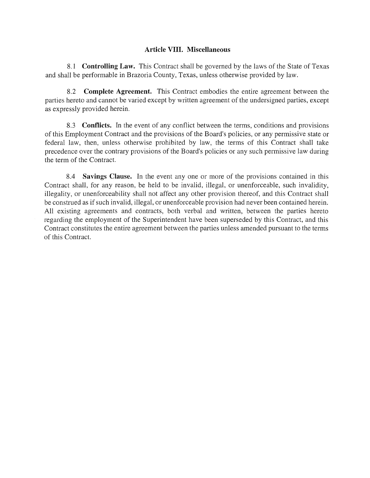# **Article VIII. Miscellaneous**

8.1 **Controlling Law.** This Contract shall be governed by the laws of the State of Texas and shall be performable in Brazoria County, Texas, unless otherwise provided by law.

8.2 **Complete Agreement.** This Contract embodies the entire agreement between the parties hereto and cannot be varied except by written agreement of the undersigned parties, except as expressly provided herein.

8.3 **Conflicts.** In the event of any conflict between the terms, conditions and provisions of this Employment Contract and the provisions of the Board's policies, or any permissive state or federal law, then, unless otherwise prohibited by law, the terms of this Contract shall take precedence over the contrary provisions of the Board's policies or any such permissive law during the term of the Contract.

8.4 **Savings Clause.** In the event any one or more of the provisions contained in this Contract shall, for any reason, be held to be invalid, illegal, or unenforceable, such invalidity, illegality, or unenforceability shall not affect any other provision thereof, and this Contract shall be construed as if such invalid, illegal, or unenforceable provision had never been contained herein. All existing agreements and contracts, both verbal and written, between the parties hereto regarding the employment of the Superintendent have been superseded by this Contract, and this Contract constitutes the entire agreement between the parties unless amended pursuant to the terms of this Contract.